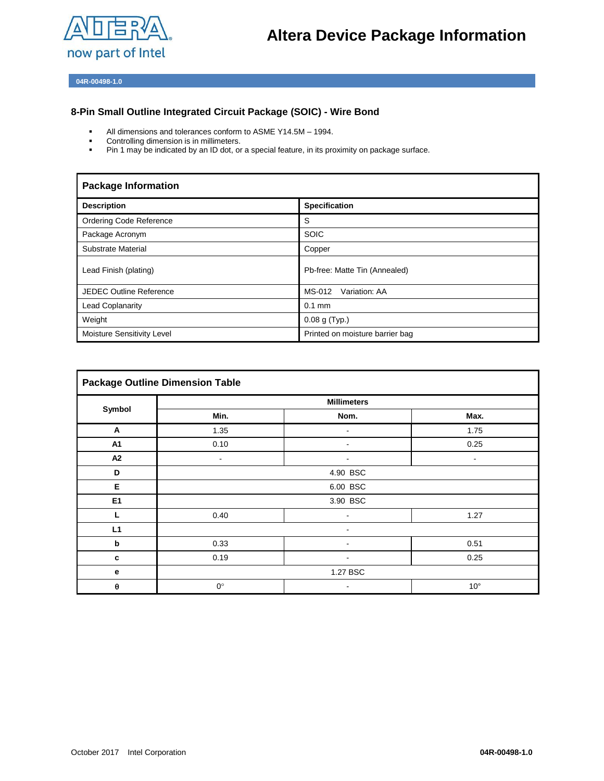

**04R-00498-1.0**

## **8-Pin Small Outline Integrated Circuit Package (SOIC) - Wire Bond**

- All dimensions and tolerances conform to  $ASME Y14.5M 1994$ .
- Controlling dimension is in millimeters.
- **Pin 1 may be indicated by an ID dot, or a special feature, in its proximity on package surface.**

| <b>Package Information</b>     |                                 |  |
|--------------------------------|---------------------------------|--|
| <b>Description</b>             | <b>Specification</b>            |  |
| <b>Ordering Code Reference</b> | S                               |  |
| Package Acronym                | <b>SOIC</b>                     |  |
| Substrate Material             | Copper                          |  |
| Lead Finish (plating)          | Pb-free: Matte Tin (Annealed)   |  |
| <b>JEDEC Outline Reference</b> | MS-012<br>Variation: AA         |  |
| <b>Lead Coplanarity</b>        | $0.1$ mm                        |  |
| Weight                         | 0.08 g (Typ.)                   |  |
| Moisture Sensitivity Level     | Printed on moisture barrier bag |  |

| <b>Package Outline Dimension Table</b> |                              |                |                              |  |
|----------------------------------------|------------------------------|----------------|------------------------------|--|
| Symbol                                 | <b>Millimeters</b>           |                |                              |  |
|                                        | Min.                         | Nom.           | Max.                         |  |
| Α                                      | 1.35                         | ٠              | 1.75                         |  |
| A1                                     | 0.10                         | $\sim$         | 0.25                         |  |
| A <sub>2</sub>                         | $\qquad \qquad \blacksquare$ |                | $\qquad \qquad \blacksquare$ |  |
| D                                      | 4.90 BSC                     |                |                              |  |
| Е                                      |                              | 6.00 BSC       |                              |  |
| E <sub>1</sub>                         |                              | 3.90 BSC       |                              |  |
| L                                      | 0.40                         | ٠              | 1.27                         |  |
| L1                                     | ۰                            |                |                              |  |
| $\boldsymbol{\mathsf{b}}$              | 0.33                         |                | 0.51                         |  |
| $\mathbf c$                            | 0.19                         | ۰              | 0.25                         |  |
| $\mathbf{e}$                           |                              | 1.27 BSC       |                              |  |
| $\pmb{\theta}$                         | $0^{\circ}$                  | $\blacksquare$ | $10^{\circ}$                 |  |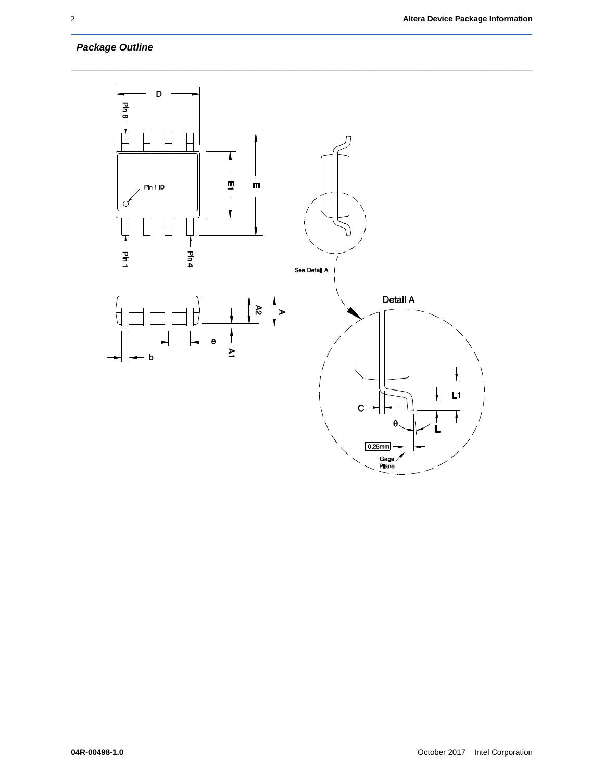## *Package Outline*